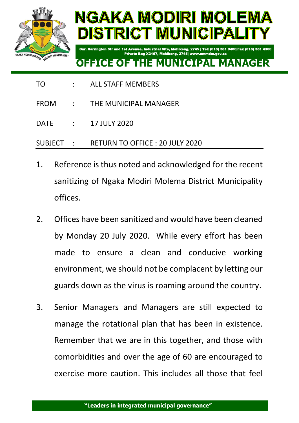

## NGAKA MODIRI MOLEN DISTRICT MUNICIPALI

## **OFFICE OF**

Private Bag X2167, Mahikeng, 2745| www.nmmdm.gov.za

2745 | Tel: (018) 381 9400|Fax (018) 381 4300

- TO : ALL STAFF MEMBERS
- FROM : THE MUNICIPAL MANAGER
- DATE : 17 JULY 2020
- SUBJECT : RETURN TO OFFICE : 20 JULY 2020
- 1. Reference is thus noted and acknowledged for the recent sanitizing of Ngaka Modiri Molema District Municipality offices.
- 2. Offices have been sanitized and would have been cleaned by Monday 20 July 2020. While every effort has been made to ensure a clean and conducive working environment, we should not be complacent by letting our guards down as the virus is roaming around the country.
- 3. Senior Managers and Managers are still expected to manage the rotational plan that has been in existence. Remember that we are in this together, and those with comorbidities and over the age of 60 are encouraged to exercise more caution. This includes all those that feel